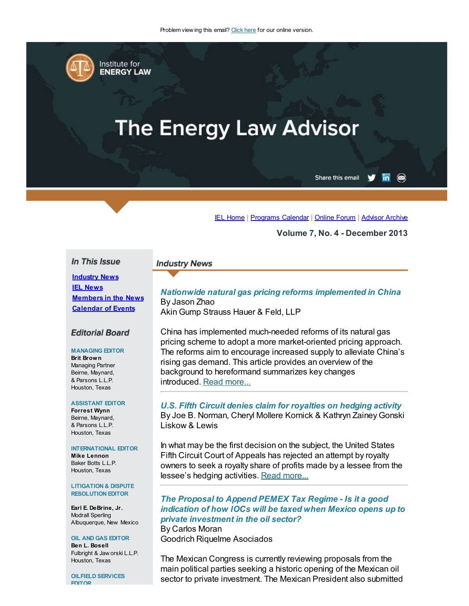

# **The Energy Law Advisor**

Share this email  $\overline{\mathsf{in}}$   $\circledcirc$ 

IEL [Home](http://www.cailaw.org/institute-for-energy-law/index.html?utm_source=Informz&utm_medium=Email&utm_campaign=Event+Details) | [Programs](http://www.cailaw.org/institute-for-energy-law/programs-calendar.html?utm_source=Informz&utm_medium=Email&utm_campaign=Event+Details) Calendar | [Online](http://www.linkedin.com/groups?homeNewMember=&gid=2370373&trk=&ut=0XojoQQoYP6ls1) Forum | [Advisor](http://www.cailaw.org/institute-for-energy-law/publications/energy-law-advisor.html?utm_source=Informz&utm_medium=Email&utm_campaign=Event+Details) Archive

Volume 7, No. 4 - December 2013

#### In This Issue

## **Industry News IEL News** [Members](#page-1-0) in the News [Calendar](#page-2-0) of Events

## **Editorial Board**

#### MANAGING EDITOR

Brit Brown Managing Partner Beirne, Maynard, & Parsons L.L.P. Houston, Texas

#### ASSISTANT EDITOR

Forrest Wynn Beirne, Maynard, & Parsons L.L.P. Houston, Texas

#### INTERNATIONAL EDITOR

Mike Lennon Baker Botts L.L.P. Houston, Texas

#### LITIGATION & DISPUTE RESOLUTION EDITOR

Earl E. DeBrine, Jr. Modrall Sperling Albuquerque, New Mexico

## OIL AND GAS EDITOR Ben L. Bosell

Fulbright & Jaw orski L.L.P. Houston, Texas

OILFIELD SERVICES EDITOR

## Nationwide natural gas pricing reforms implemented in China By Jason Zhao

Akin Gump Strauss Hauer & Feld, LLP

**Industry News** 

China has implemented much-needed reforms of its natural gas pricing scheme to adopt a more market-oriented pricing approach. The reforms aim to encourage increased supply to alleviate China's rising gas demand. This article provides an overview of the background to hereformand summarizes key changes introduced. Read [more...](http://www.cailaw.org/media/files/IEL/Publications/2013/ela-nationwide-natural-gas-vol7-no4.pdf)

## U.S. Fifth Circuit denies claim for royalties on hedging activity By Joe B. Norman, Cheryl Mollere Kornick & Kathryn Zainey Gonski Liskow & Lewis

In what may be the first decision on the subject, the United States Fifth Circuit Court of Appeals has rejected an attempt by royalty owners to seek a royalty share of profits made by a lessee from the lessee's hedging activities. Read [more...](http://cailaw.informz.net/admin31/content/template.asp?sid=33193&ptid=799&brandid=3434&uid=%%UID%%&mi=%%MINSTANCEID%%&ps=33193)

## The Proposal to Append PEMEX Tax Regime - Is it a good indication of how IOCs will be taxed when Mexico opens up to private investment in the oil sector?

By Carlos Moran Goodrich Riquelme Asociados

The Mexican Congress is currently reviewing proposals from the main political parties seeking a historic opening of the Mexican oil sector to private investment. The Mexican President also submitted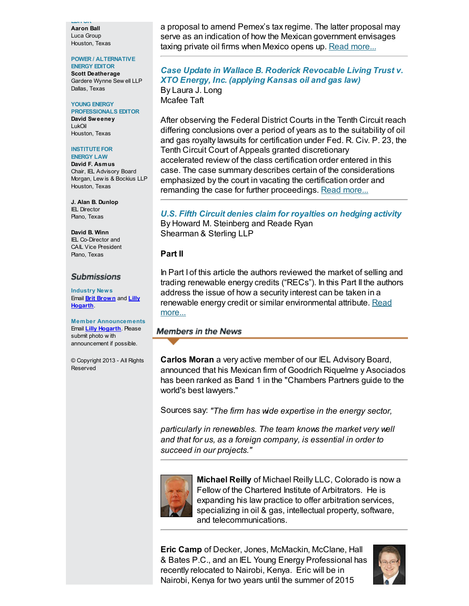EDITOR Aaron Ball Luca Group Houston, Texas

#### POWER / ALTERNATIVE

ENERGY EDITOR Scott Deatherage Gardere Wynne Sew ell LLP Dallas, Texas

#### YOUNG ENERGY

PROFESSIONALS EDITOR David Sweeney LukOil Houston, Texas

#### **INSTITUTE FOR**

ENERGY LAW David F. Asmus Chair, IEL Advisory Board Morgan, Lew is & Bockius LLP Houston, Texas

J. Alan B. Dunlop IEL Director Plano, Texas

David B. Winn IEL Co-Director and CAIL Vice President Plano, Texas

## **Submissions**

Industry News Email **Brit [Brown](mailto:bbrown@bmpllp.com)** and **Lilly** [Hogarth](mailto:lhogarth@cailaw.org).

Member Announcements Email **Lilly [Hogarth](mailto:lhogarth@cailaw.org)**. Please submit photo w ith announcement if possible.

© Copyright 2013 - All Rights Reserved

a proposal to amend Pemex's tax regime. The latter proposal may serve as an indication of how the Mexican government envisages taxing private oil firms when Mexico opens up. Read [more...](http://www.cailaw.org/media/files/IEL/Publications/2013/ela-proposal-pemex-vol7-no4.pdf)

## Case Update in Wallace B. Roderick Revocable Living Trust v. XTO Energy, Inc. (applying Kansas oil and gas law) By Laura J. Long Mcafee Taft

After observing the Federal District Courts in the Tenth Circuit reach differing conclusions over a period of years as to the suitability of oil and gas royalty lawsuits for certification under Fed. R. Civ. P. 23, the Tenth Circuit Court of Appeals granted discretionary accelerated review of the class certification order entered in this case. The case summary describes certain of the considerations emphasized by the court in vacating the certification order and remanding the case for further proceedings. Read [more...](http://cailaw.informz.net/admin31/content/template.asp?sid=33197&ptid=799&brandid=3434&uid=%%UID%%&mi=%%MINSTANCEID%%&ps=33197)

### U.S. Fifth Circuit denies claim for royalties on hedging activity By Howard M. Steinberg and Reade Ryan Shearman & Sterling LLP

## Part II

In Part I of this article the authors reviewed the market of selling and trading renewable energy credits ("RECs"). In this Part II the authors address the issue of how a security interest can be taken in a renewable energy credit or similar [environmental](http://cailaw.informz.net/admin31/content/template.asp?sid=33198&ptid=799&brandid=3434&uid=%%UID%%&mi=%%MINSTANCEID%%&ps=33198) attribute. Read more...

## <span id="page-1-0"></span>**Members in the News**

Carlos Moran a very active member of our IEL Advisory Board, announced that his Mexican firm of Goodrich Riquelme y Asociados has been ranked as Band 1 in the "Chambers Partners guide to the world's best lawyers."

Sources say: "The firm has wide expertise in the energy sector,

particularly in renewables. The team knows the market very well and that for us, as a foreign company, is essential in order to succeed in our projects."



Michael Reilly of Michael Reilly LLC, Colorado is now a Fellow of the Chartered Institute of Arbitrators. He is expanding his law practice to offer arbitration services, specializing in oil & gas, intellectual property, software, and telecommunications.

Eric Camp of Decker, Jones, McMackin, McClane, Hall & Bates P.C., and an IEL Young Energy Professional has recently relocated to Nairobi, Kenya. Eric will be in Nairobi, Kenya for two years until the summer of 2015

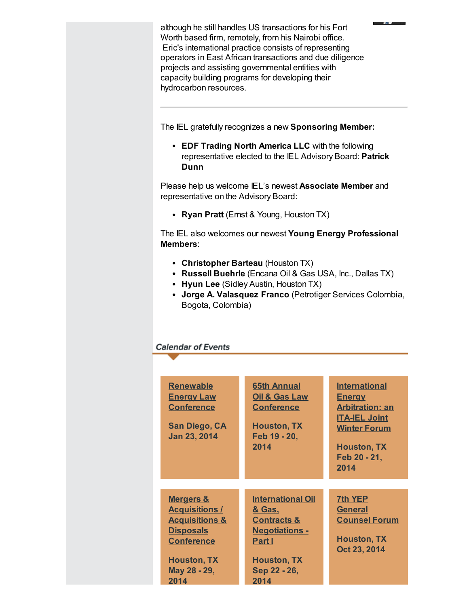although he still handles US transactions for his Fort Worth based firm, remotely, from his Nairobi office. Eric's international practice consists of representing operators in East African transactions and due diligence projects and assisting governmental entities with capacity building programs for developing their hydrocarbon resources.

- 147

The IEL gratefully recognizes a new Sponsoring Member:

• EDF Trading North America LLC with the following representative elected to the IEL Advisory Board: Patrick Dunn

Please help us welcome IEL's newest **Associate Member** and representative on the Advisory Board:

• Ryan Pratt (Ernst & Young, Houston TX)

The IEL also welcomes our newest Young Energy Professional Members:

- Christopher Barteau (Houston TX)
- Russell Buehrle (Encana Oil & Gas USA, Inc., Dallas TX)
- Hyun Lee (Sidley Austin, Houston TX)
- Jorge A. Valasquez Franco (Petrotiger Services Colombia, Bogota, Colombia)

## <span id="page-2-0"></span>**Calendar of Events**

| <b>Renewable</b><br><b>Energy Law</b><br><b>Conference</b><br><b>San Diego, CA</b><br>Jan 23, 2014                                                                       | <b>65th Annual</b><br>Oil & Gas Law<br><b>Conference</b><br><b>Houston, TX</b><br>Feb 19 - 20,<br>2014                                                          | <b>International</b><br><b>Energy</b><br><b>Arbitration: an</b><br><b>ITA-IEL Joint</b><br><b>Winter Forum</b><br><b>Houston, TX</b><br>Feb 20 - 21,<br>2014 |
|--------------------------------------------------------------------------------------------------------------------------------------------------------------------------|-----------------------------------------------------------------------------------------------------------------------------------------------------------------|--------------------------------------------------------------------------------------------------------------------------------------------------------------|
|                                                                                                                                                                          |                                                                                                                                                                 |                                                                                                                                                              |
| <b>Mergers &amp;</b><br><b>Acquisitions /</b><br><u><b>Acquisitions &amp;</b></u><br><b>Disposals</b><br><b>Conference</b><br><b>Houston, TX</b><br>May 28 - 29,<br>2014 | <b>International Oil</b><br><u>&amp; Gas,</u><br><b>Contracts &amp;</b><br><u><b>Negotiations -</b></u><br>Part I<br><b>Houston, TX</b><br>Sep 22 - 26,<br>2014 | <b>7th YEP</b><br><b>General</b><br><b>Counsel Forum</b><br><b>Houston, TX</b><br>Oct 23, 2014                                                               |